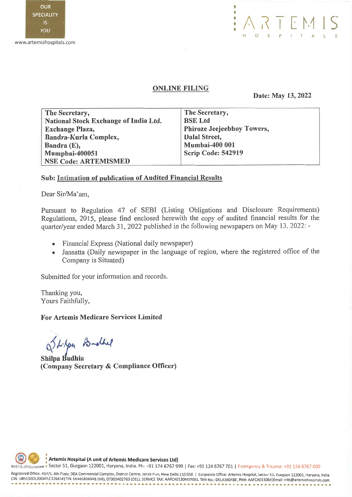

www.artemishospitals.com



## ONLINE FILING

### Date: May 13, 2022

The Secretary, National Stock Exchange of India Ltd. Exchange Plaza, Bandra-Kurla Complex, Bandra (E), Mumpbai-400051 NSE Code: ARTEMISMED

The Secretary, BSE Ltd Phiroze Jeejeebhoy Towers, Dalai Street, Mumbai-400 001 Scrip Code: 542919

## Sub: Intimation of publication of Audited Financial Results

Dear Sir/Ma'am,

Pursuant to Regulation 47 of SEBI (Listing Obligations and Disclosure Requirements) Regulations, 2015, please find enclosed herewith the copy of audited financial results for the quarter/year ended March 31, 2022 published in the following newspapers on May 13, 2022: -

- Financial Express (National daily newspaper)
- Jansatta (Daily newspaper in the language of region, where the registered office of the Company is Situated)

Submitted for your information and records.

Thanking you, Yours Faithfully,

For Artemis Medicare Services Limited

Stilper Brother

Shilpa Budhia (Company Secretary & Compliance Officer)

• • Artemis Hospital (A unit of Artemis Medicare Services Ltd) •

edited • Sector 51, Gurgaon 122001, Haryana, India. Ph: +91 124 6767 999 | Fax: +91 124 6767 701 | Emergency & Trauma: +91 124 6767 000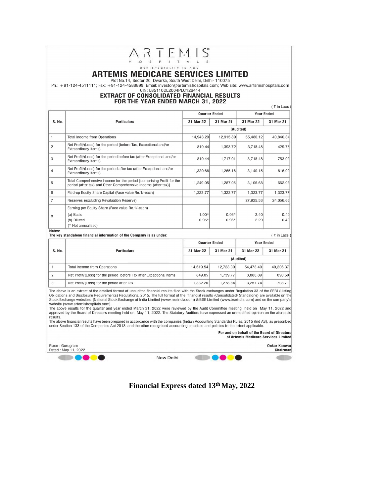### $\mathsf{S}^*$  $\wedge$ 日 1.4  $R$  $\mathsf{I}$  $\mathsf{H}$  $\circ$  $1$  T  $\overline{A}$  $\mathbf{s}$  $\mathsf{s}$  $\overline{P}$  $\mathbb L$

OUR SPECIALITY IS YOU

**ARTEMIS MEDICARE SERVICES LIMITED**<br>Plot No.14, Sector 20, Dwarka, South West Delhi, Delhi- 110075<br>Ph.: +91-124-4511111; Fax: +91-124-4588899; Email: investor@artemishospitals.com; Web site: www.artemishospitals.com<br>CN: L8

# **EXTRACT OF CONSOLIDATED FINANCIAL RESULTS<br>FOR THE YEAR ENDED MARCH 31, 2022**

 $(\bar{\tau}$  in Lacs)

| S. No.         | <b>Particulars</b>                                                                                                                                                                                                                                                                                                                                                                                                                                                                                                                                                                                                                                                                                                                                                                                                                                                                                                                                                                                                                                                                      | <b>Quarter Ended</b> |                    | <b>Year Ended</b> |              |
|----------------|-----------------------------------------------------------------------------------------------------------------------------------------------------------------------------------------------------------------------------------------------------------------------------------------------------------------------------------------------------------------------------------------------------------------------------------------------------------------------------------------------------------------------------------------------------------------------------------------------------------------------------------------------------------------------------------------------------------------------------------------------------------------------------------------------------------------------------------------------------------------------------------------------------------------------------------------------------------------------------------------------------------------------------------------------------------------------------------------|----------------------|--------------------|-------------------|--------------|
|                |                                                                                                                                                                                                                                                                                                                                                                                                                                                                                                                                                                                                                                                                                                                                                                                                                                                                                                                                                                                                                                                                                         | 31 Mar 22            | 31 Mar 21          | 31 Mar 22         | 31 Mar 21    |
|                |                                                                                                                                                                                                                                                                                                                                                                                                                                                                                                                                                                                                                                                                                                                                                                                                                                                                                                                                                                                                                                                                                         | (Audited)            |                    |                   |              |
| $\mathbf{1}$   | <b>Total Income from Operations</b>                                                                                                                                                                                                                                                                                                                                                                                                                                                                                                                                                                                                                                                                                                                                                                                                                                                                                                                                                                                                                                                     | 14,943.20            | 12,915.89          | 55,480.12         | 40,840.34    |
| $\overline{2}$ | Net Profit/(Loss) for the period (before Tax, Exceptional and/or<br>Extraordinary Items)                                                                                                                                                                                                                                                                                                                                                                                                                                                                                                                                                                                                                                                                                                                                                                                                                                                                                                                                                                                                | 819.44               | 1.393.72           | 3.718.48          | 429.73       |
| 3              | Net Profit/(Loss) for the period before tax (after Exceptional and/or<br><b>Extraordinary Items)</b>                                                                                                                                                                                                                                                                                                                                                                                                                                                                                                                                                                                                                                                                                                                                                                                                                                                                                                                                                                                    | 819.44               | 1.717.01           | 3.718.48          | 753.02       |
| $\overline{4}$ | Net Profit/(Loss) for the period after tax (after Exceptional and/or<br><b>Extraordinary Items)</b>                                                                                                                                                                                                                                                                                                                                                                                                                                                                                                                                                                                                                                                                                                                                                                                                                                                                                                                                                                                     | 1.320.66             | 1,265.16           | 3,140.15          | 616.00       |
| 5              | Total Comprehensive Income for the period [comprising Profit for the<br>period (after tax) and Other Comprehensive Income (after tax)]                                                                                                                                                                                                                                                                                                                                                                                                                                                                                                                                                                                                                                                                                                                                                                                                                                                                                                                                                  | 1.249.05             | 1,287.05           | 3.106.68          | 662.98       |
| 6              | Paid-up Equity Share Capital (Face value Re.1/-each)                                                                                                                                                                                                                                                                                                                                                                                                                                                                                                                                                                                                                                                                                                                                                                                                                                                                                                                                                                                                                                    | 1,323.77             | 1,323.77           | 1,323.77          | 1,323.77     |
| $\overline{7}$ | Reserves (excluding Revaluation Reserve)                                                                                                                                                                                                                                                                                                                                                                                                                                                                                                                                                                                                                                                                                                                                                                                                                                                                                                                                                                                                                                                |                      |                    | 27,925.53         | 24,056.65    |
| 8              | Earning per Equity Share (Face value Re.1/-each)<br>(a) Basic<br>(b) Diluted<br>(* Not annualised)                                                                                                                                                                                                                                                                                                                                                                                                                                                                                                                                                                                                                                                                                                                                                                                                                                                                                                                                                                                      | $1.00*$<br>$0.95*$   | $0.96*$<br>$0.96*$ | 2.40<br>2.29      | 0.49<br>0.49 |
| Notes:         | The key standalone financial information of the Company is as under:                                                                                                                                                                                                                                                                                                                                                                                                                                                                                                                                                                                                                                                                                                                                                                                                                                                                                                                                                                                                                    |                      |                    |                   | (₹ in Lacs)  |
|                |                                                                                                                                                                                                                                                                                                                                                                                                                                                                                                                                                                                                                                                                                                                                                                                                                                                                                                                                                                                                                                                                                         | <b>Quarter Ended</b> |                    | <b>Year Ended</b> |              |
| S. No.         | <b>Particulars</b>                                                                                                                                                                                                                                                                                                                                                                                                                                                                                                                                                                                                                                                                                                                                                                                                                                                                                                                                                                                                                                                                      | 31 Mar 22            | 31 Mar 21          | 31 Mar 22         | 31 Mar 21    |
|                |                                                                                                                                                                                                                                                                                                                                                                                                                                                                                                                                                                                                                                                                                                                                                                                                                                                                                                                                                                                                                                                                                         | (Audited)            |                    |                   |              |
| $\mathbf{1}$   | <b>Total Income from Operations</b>                                                                                                                                                                                                                                                                                                                                                                                                                                                                                                                                                                                                                                                                                                                                                                                                                                                                                                                                                                                                                                                     | 14,619.54            | 12,723.39          | 54,478.40         | 40,206.37    |
| $\overline{2}$ | Net Profit/(Loss) for the period before Tax after Exceptional Items                                                                                                                                                                                                                                                                                                                                                                                                                                                                                                                                                                                                                                                                                                                                                                                                                                                                                                                                                                                                                     | 849.85               | 1,739.77           | 3,880.89          | 890.59       |
| 3              | Net Profit/(Loss) for the period after Tax                                                                                                                                                                                                                                                                                                                                                                                                                                                                                                                                                                                                                                                                                                                                                                                                                                                                                                                                                                                                                                              | 1.332.20             | 1.278.84           | 3.257.74          | 708.71       |
| results.       | The above is an extract of the detailed format of unaudited financial results filed with the Stock exchanges under Regulation 33 of the SEBI (Listing<br>Obligations and Disclosure Requirements) Requlations, 2015. The full format of the financial results (Consolidated/ Standalone) are available on the<br>Stock Exchange websites. (National Stock Exchange of India Limited (www.nseindia.com) & BSE Limited (www.bseindia.com) and on the company's<br>website (www.artemishospitals.com).<br>The above results for the quarter and year ended March 31, 2022 were reviewed by the Audit Committee meeting held on May 11, 2022 and<br>approved by the Board of Directors meeting held on May 11, 2022. The Statutory Auditors have expressed an unmodified opinion on the aforesaic<br>The above financial results have been prepared in accordance with the companies (Indian Accounting Standards) Rules, 2015 (Ind AS), as prescribed<br>under Section 133 of the Companies Act 2013, and the other recognised accounting practices and policies to the extent applicable. |                      |                    |                   |              |

For and on behalf of the Board of Directors<br>of Artemis Medicare Services Limited Place: Gurugram<br>Dated: May 11, 2022 **Onkar Kanwar** Chairman

New Delhi

Financial Express dated 13th May, 2022

**CID** 

 $\blacksquare$ 

**COLOR**